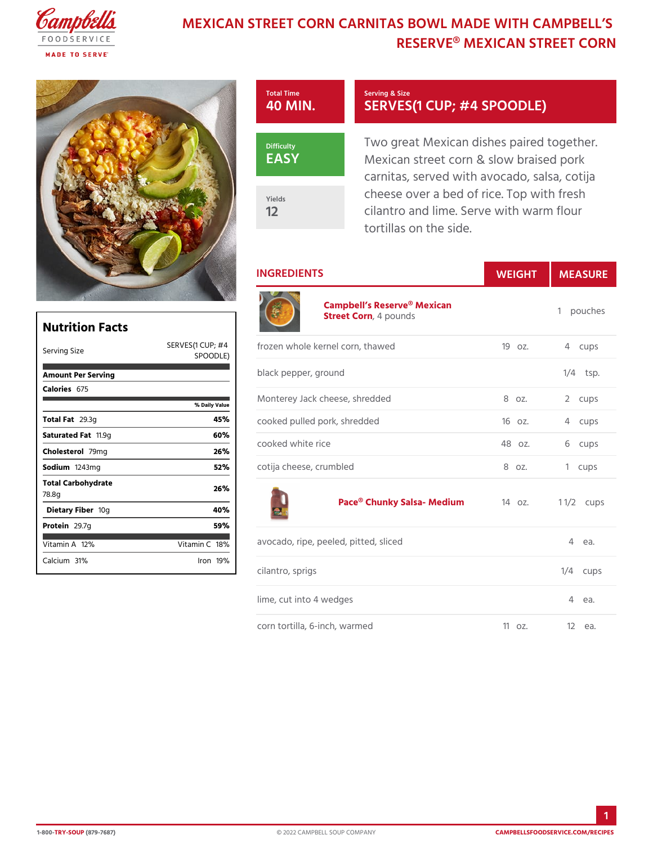# MEXICAN STREET CORN CARNITAS BOWL MA RESERVE® MEXICAN STR



SERVES(1 CUP; #4 SPO0

Two great Mexican dishes paire Mexican street corn & slow brain carnitas, served with avocado, cheese over a bed of rice. Top cilantro and lime. Serve with wa tortillas on the side.

٦

## INGREDIENTS WEIGH MEASURE

1 pouches

| Nutrition Facts             |                                 |       |
|-----------------------------|---------------------------------|-------|
| Serving Size                | SERVES (1 QUP; f# 4<br>SPOODLE) |       |
| Amount Per Serving          |                                 | bla   |
| Calorie6s75                 |                                 | M o   |
|                             | % Daily Value                   |       |
| Total F29.3g                | 45%                             | C O C |
| Saturated 1F1a19g           | 60 <sub>%</sub>                 |       |
| Choleste <b>7</b> o9lmg     | 26%                             | C O C |
| Sodium 243mg                | 52%                             | соt   |
| Total Carbohydrate<br>78.8g | 26%                             |       |
| Dietary F1iber              | 40%                             |       |
| Protei <sub>29.7g</sub>     | 59%                             |       |
| Vitamin1A2%                 | Vitamin18 <sup>%</sup>          | a v c |
| Calcium <sup>3</sup> %      | $l$ ron 19 $M$                  |       |
|                             |                                 | cila  |

| . E ) . | UP;f#もzen whole kernel corn, thawed   19 oz.   4 cups |               |            |
|---------|-------------------------------------------------------|---------------|------------|
|         | black pepper, ground                                  |               | $1/4$ tsp. |
| lue     | Monterey Jack cheese, shredded                        | 8 oz. 2 cups  |            |
|         | cooked pulled pork, shredded                          | 16 oz. 4 cups |            |
|         | cooked white rice                                     | 48 oz. 6 cups |            |
|         | cotija cheese, crumbled                               | 8 oz. 1 cups  |            |
|         |                                                       |               |            |

[Campbell s Reserve](https://www.campbellsfoodservice.com/product/campbells-reserve-frozen-ready-to-cook-mexican-street-corn-soup)® Mexican

Street Co4rmounds

[Pace® Chunky Sal](https://www.campbellsfoodservice.com/product/pace-chunky-salsa-medium-heat-ready-to-use-multi-purpose-sauce)sa- Medion. 1 1/2 ups

| avocado, ripe, peeled, pitted, sliced | 4 еа.            |
|---------------------------------------|------------------|
| cilantro, sprigs                      | $1/4$ cups       |
| lime, cut into 4 wedges               | 4 еа.            |
| corn tortilla, 6-inch, warmed         | 11 o z. 12 e a . |